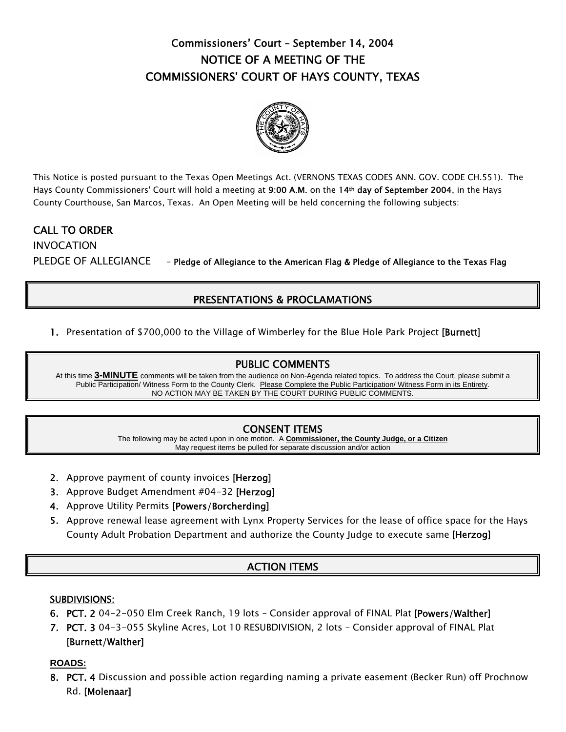# Commissioners' Court – September 14, 2004 NOTICE OF A MEETING OF THE COMMISSIONERS' COURT OF HAYS COUNTY, TEXAS



This Notice is posted pursuant to the Texas Open Meetings Act. (VERNONS TEXAS CODES ANN. GOV. CODE CH.551). The Hays County Commissioners' Court will hold a meeting at 9:00 A.M. on the 14<sup>th</sup> day of September 2004, in the Hays County Courthouse, San Marcos, Texas. An Open Meeting will be held concerning the following subjects:

## CALL TO ORDER

INVOCATION PLEDGE OF ALLEGIANCE - Pledge of Allegiance to the American Flag & Pledge of Allegiance to the Texas Flag

## PRESENTATIONS & PROCLAMATIONS

1. Presentation of \$700,000 to the Village of Wimberley for the Blue Hole Park Project [Burnett]

### PUBLIC COMMENTS

At this time **3-MINUTE** comments will be taken from the audience on Non-Agenda related topics. To address the Court, please submit a Public Participation/ Witness Form to the County Clerk. Please Complete the Public Participation/ Witness Form in its Entirety. NO ACTION MAY BE TAKEN BY THE COURT DURING PUBLIC COMMENTS.

## CONSENT ITEMS

The following may be acted upon in one motion. A **Commissioner, the County Judge, or a Citizen** May request items be pulled for separate discussion and/or action

- 2. Approve payment of county invoices [Herzog]
- 3. Approve Budget Amendment #04-32 [Herzog]
- 4. Approve Utility Permits [Powers/Borcherding]
- 5. Approve renewal lease agreement with Lynx Property Services for the lease of office space for the Hays County Adult Probation Department and authorize the County Judge to execute same [Herzog]

## ACTION ITEMS

### SUBDIVISIONS:

- 6. PCT. 2 04-2-050 Elm Creek Ranch, 19 lots Consider approval of FINAL Plat [Powers/Walther]
- 7. PCT. 3 04-3-055 Skyline Acres, Lot 10 RESUBDIVISION, 2 lots Consider approval of FINAL Plat [Burnett/Walther]

#### **ROADS:**

8. PCT. 4 Discussion and possible action regarding naming a private easement (Becker Run) off Prochnow Rd. [Molenaar]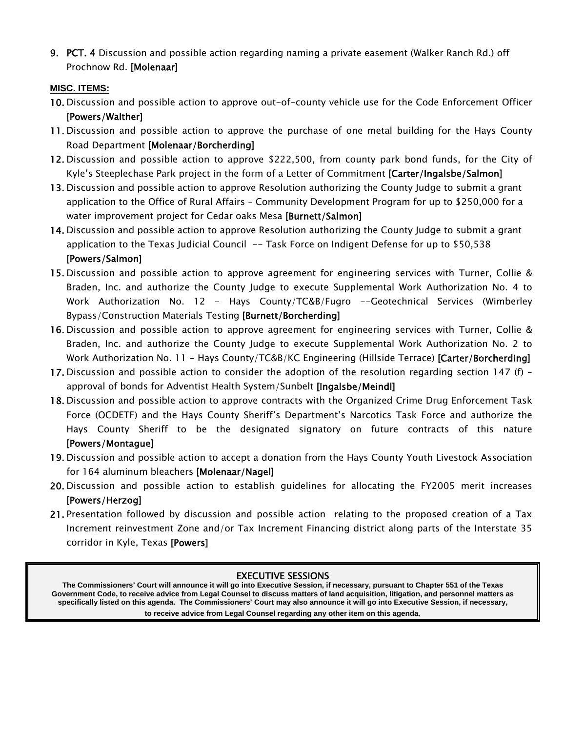9. PCT. 4 Discussion and possible action regarding naming a private easement (Walker Ranch Rd.) off Prochnow Rd. [Molenaar]

### **MISC. ITEMS:**

l

- 10. Discussion and possible action to approve out-of-county vehicle use for the Code Enforcement Officer [Powers/Walther]
- 11. Discussion and possible action to approve the purchase of one metal building for the Hays County Road Department [Molenaar/Borcherding]
- 12. Discussion and possible action to approve \$222,500, from county park bond funds, for the City of Kyle's Steeplechase Park project in the form of a Letter of Commitment [Carter/Ingalsbe/Salmon]
- 13. Discussion and possible action to approve Resolution authorizing the County Judge to submit a grant application to the Office of Rural Affairs – Community Development Program for up to \$250,000 for a water improvement project for Cedar oaks Mesa [Burnett/Salmon]
- 14. Discussion and possible action to approve Resolution authorizing the County Judge to submit a grant application to the Texas Judicial Council -- Task Force on Indigent Defense for up to \$50,538 [Powers/Salmon]
- 15. Discussion and possible action to approve agreement for engineering services with Turner, Collie & Braden, Inc. and authorize the County Judge to execute Supplemental Work Authorization No. 4 to Work Authorization No. 12 - Hays County/TC&B/Fugro --Geotechnical Services (Wimberley Bypass/Construction Materials Testing [Burnett/Borcherding]
- 16. Discussion and possible action to approve agreement for engineering services with Turner, Collie & Braden, Inc. and authorize the County Judge to execute Supplemental Work Authorization No. 2 to Work Authorization No. 11 - Hays County/TC&B/KC Engineering (Hillside Terrace) **[Carter/Borcherding]**
- 17. Discussion and possible action to consider the adoption of the resolution regarding section 147 (f) approval of bonds for Adventist Health System/Sunbelt [Ingalsbe/Meindl]
- 18. Discussion and possible action to approve contracts with the Organized Crime Drug Enforcement Task Force (OCDETF) and the Hays County Sheriff's Department's Narcotics Task Force and authorize the Hays County Sheriff to be the designated signatory on future contracts of this nature [Powers/Montague]
- 19. Discussion and possible action to accept a donation from the Hays County Youth Livestock Association for 164 aluminum bleachers [Molenaar/Nagel]
- 20. Discussion and possible action to establish guidelines for allocating the FY2005 merit increases [Powers/Herzog]
- 21. Presentation followed by discussion and possible action relating to the proposed creation of a Tax Increment reinvestment Zone and/or Tax Increment Financing district along parts of the Interstate 35 corridor in Kyle, Texas [Powers]

#### EXECUTIVE SESSIONS

**The Commissioners' Court will announce it will go into Executive Session, if necessary, pursuant to Chapter 551 of the Texas Government Code, to receive advice from Legal Counsel to discuss matters of land acquisition, litigation, and personnel matters as specifically listed on this agenda. The Commissioners' Court may also announce it will go into Executive Session, if necessary, to receive advice from Legal Counsel regarding any other item on this agenda**.